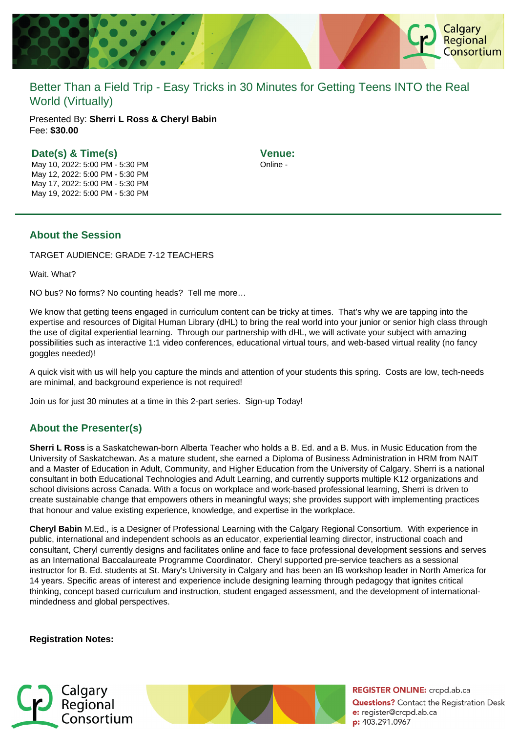

# Better Than a Field Trip - Easy Tricks in 30 Minutes for Getting Teens INTO the Real World (Virtually)

Presented By: **Sherri L Ross & Cheryl Babin** Fee: **\$30.00** 

#### **Date(s) & Time(s)**

May 10, 2022: 5:00 PM - 5:30 PM May 12, 2022: 5:00 PM - 5:30 PM May 17, 2022: 5:00 PM - 5:30 PM May 19, 2022: 5:00 PM - 5:30 PM **Venue:** Online -

### **About the Session**

TARGET AUDIENCE: GRADE 7-12 TEACHERS

Wait. What?

NO bus? No forms? No counting heads? Tell me more…

We know that getting teens engaged in curriculum content can be tricky at times. That's why we are tapping into the expertise and resources of Digital Human Library (dHL) to bring the real world into your junior or senior high class through the use of digital experiential learning. Through our partnership with dHL, we will activate your subject with amazing possibilities such as interactive 1:1 video conferences, educational virtual tours, and web-based virtual reality (no fancy goggles needed)!

A quick visit with us will help you capture the minds and attention of your students this spring. Costs are low, tech-needs are minimal, and background experience is not required!

Join us for just 30 minutes at a time in this 2-part series. Sign-up Today!

## **About the Presenter(s)**

**Sherri L Ross** is a Saskatchewan-born Alberta Teacher who holds a B. Ed. and a B. Mus. in Music Education from the University of Saskatchewan. As a mature student, she earned a Diploma of Business Administration in HRM from NAIT and a Master of Education in Adult, Community, and Higher Education from the University of Calgary. Sherri is a national consultant in both Educational Technologies and Adult Learning, and currently supports multiple K12 organizations and school divisions across Canada. With a focus on workplace and work-based professional learning, Sherri is driven to create sustainable change that empowers others in meaningful ways; she provides support with implementing practices that honour and value existing experience, knowledge, and expertise in the workplace.

**Cheryl Babin** M.Ed., is a Designer of Professional Learning with the Calgary Regional Consortium. With experience in public, international and independent schools as an educator, experiential learning director, instructional coach and consultant, Cheryl currently designs and facilitates online and face to face professional development sessions and serves as an International Baccalaureate Programme Coordinator. Cheryl supported pre-service teachers as a sessional instructor for B. Ed. students at St. Mary's University in Calgary and has been an IB workshop leader in North America for 14 years. Specific areas of interest and experience include designing learning through pedagogy that ignites critical thinking, concept based curriculum and instruction, student engaged assessment, and the development of internationalmindedness and global perspectives.

#### **Registration Notes:**





**REGISTER ONLINE:** crcpd.ab.ca **Questions?** Contact the Registration Desk e: register@crcpd.ab.ca p: 403.291.0967